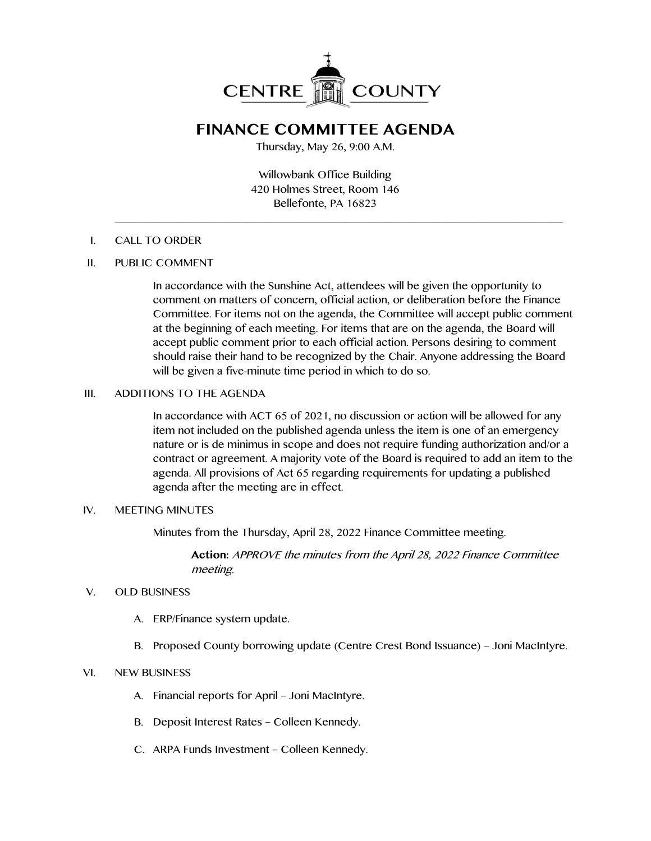

# **FINANCE COMMITTEE AGENDA**

Thursday, May 26, 9:00 A.M.

Willowbank Office Building 420 Holmes Street, Room 146 Bellefonte, PA 16823

\_\_\_\_\_\_\_\_\_\_\_\_\_\_\_\_\_\_\_\_\_\_\_\_\_\_\_\_\_\_\_\_\_\_\_\_\_\_\_\_\_\_\_\_\_\_\_\_\_\_\_\_\_\_\_\_\_\_\_\_\_\_\_\_\_\_\_\_\_\_\_\_\_\_\_\_\_\_

- I. CALL TO ORDER
- II. PUBLIC COMMENT

In accordance with the Sunshine Act, attendees will be given the opportunity to comment on matters of concern, official action, or deliberation before the Finance Committee. For items not on the agenda, the Committee will accept public comment at the beginning of each meeting. For items that are on the agenda, the Board will accept public comment prior to each official action. Persons desiring to comment should raise their hand to be recognized by the Chair. Anyone addressing the Board will be given a five-minute time period in which to do so.

## III. ADDITIONS TO THE AGENDA

In accordance with ACT 65 of 2021, no discussion or action will be allowed for any item not included on the published agenda unless the item is one of an emergency nature or is de minimus in scope and does not require funding authorization and/or a contract or agreement. A majority vote of the Board is required to add an item to the agenda. All provisions of Act 65 regarding requirements for updating a published agenda after the meeting are in effect.

#### IV. MEETING MINUTES

Minutes from the Thursday, April 28, 2022 Finance Committee meeting.

**Action:** APPROVE the minutes from the April 28, 2022 Finance Committee meeting.

#### V. OLD BUSINESS

- A. ERP/Finance system update.
- B. Proposed County borrowing update (Centre Crest Bond Issuance) Joni MacIntyre.

#### VI. NEW BUSINESS

- A. Financial reports for April Joni MacIntyre.
- B. Deposit Interest Rates Colleen Kennedy.
- C. ARPA Funds Investment Colleen Kennedy.